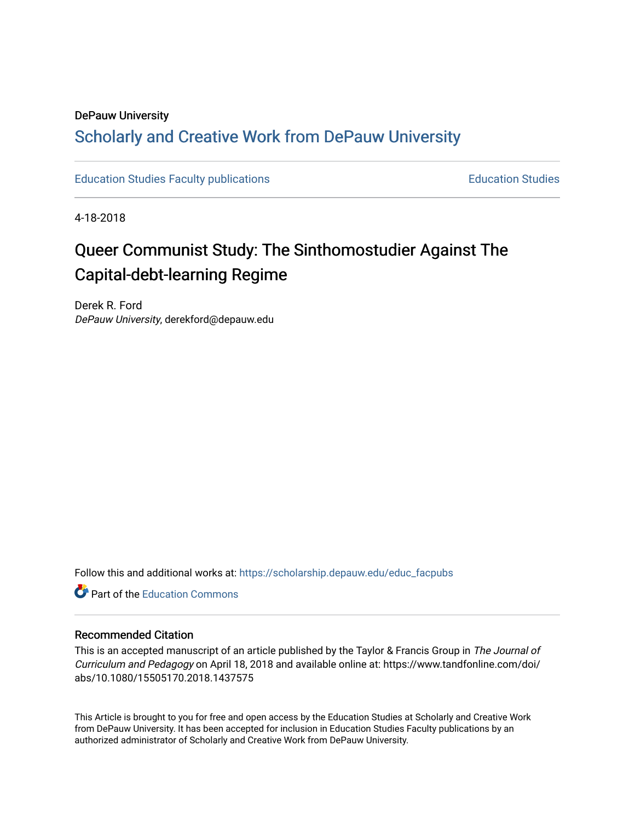## DePauw University

# Scholarly and [Creative Work from DePauw Univ](https://scholarship.depauw.edu/)ersity

[Education Studies Faculty publications](https://scholarship.depauw.edu/educ_facpubs) **Education Studies** Education Studies

4-18-2018

# Queer Communist Study: The Sinthomostudier Against The Capital-debt-learning Regime

Derek R. Ford DePauw University, derekford@depauw.edu

Follow this and additional works at: [https://scholarship.depauw.edu/educ\\_facpubs](https://scholarship.depauw.edu/educ_facpubs?utm_source=scholarship.depauw.edu%2Feduc_facpubs%2F12&utm_medium=PDF&utm_campaign=PDFCoverPages)

**C** Part of the [Education Commons](https://network.bepress.com/hgg/discipline/784?utm_source=scholarship.depauw.edu%2Feduc_facpubs%2F12&utm_medium=PDF&utm_campaign=PDFCoverPages)

### Recommended Citation

This is an accepted manuscript of an article published by the Taylor & Francis Group in The Journal of Curriculum and Pedagogy on April 18, 2018 and available online at: https://www.tandfonline.com/doi/ abs/10.1080/15505170.2018.1437575

This Article is brought to you for free and open access by the Education Studies at Scholarly and Creative Work from DePauw University. It has been accepted for inclusion in Education Studies Faculty publications by an authorized administrator of Scholarly and Creative Work from DePauw University.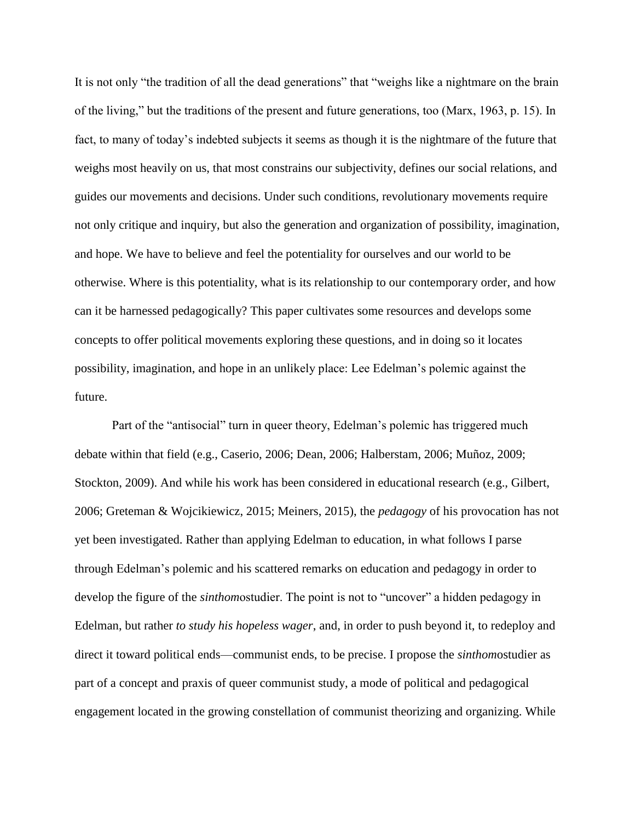It is not only "the tradition of all the dead generations" that "weighs like a nightmare on the brain of the living," but the traditions of the present and future generations, too (Marx, 1963, p. 15). In fact, to many of today's indebted subjects it seems as though it is the nightmare of the future that weighs most heavily on us, that most constrains our subjectivity, defines our social relations, and guides our movements and decisions. Under such conditions, revolutionary movements require not only critique and inquiry, but also the generation and organization of possibility, imagination, and hope. We have to believe and feel the potentiality for ourselves and our world to be otherwise. Where is this potentiality, what is its relationship to our contemporary order, and how can it be harnessed pedagogically? This paper cultivates some resources and develops some concepts to offer political movements exploring these questions, and in doing so it locates possibility, imagination, and hope in an unlikely place: Lee Edelman's polemic against the future.

Part of the "antisocial" turn in queer theory, Edelman's polemic has triggered much debate within that field (e.g., Caserio, 2006; Dean, 2006; Halberstam, 2006; Muñoz, 2009; Stockton, 2009). And while his work has been considered in educational research (e.g., Gilbert, 2006; Greteman & Wojcikiewicz, 2015; Meiners, 2015), the *pedagogy* of his provocation has not yet been investigated. Rather than applying Edelman to education, in what follows I parse through Edelman's polemic and his scattered remarks on education and pedagogy in order to develop the figure of the *sinthom*ostudier. The point is not to "uncover" a hidden pedagogy in Edelman, but rather *to study his hopeless wager*, and, in order to push beyond it, to redeploy and direct it toward political ends—communist ends, to be precise. I propose the *sinthom*ostudier as part of a concept and praxis of queer communist study, a mode of political and pedagogical engagement located in the growing constellation of communist theorizing and organizing. While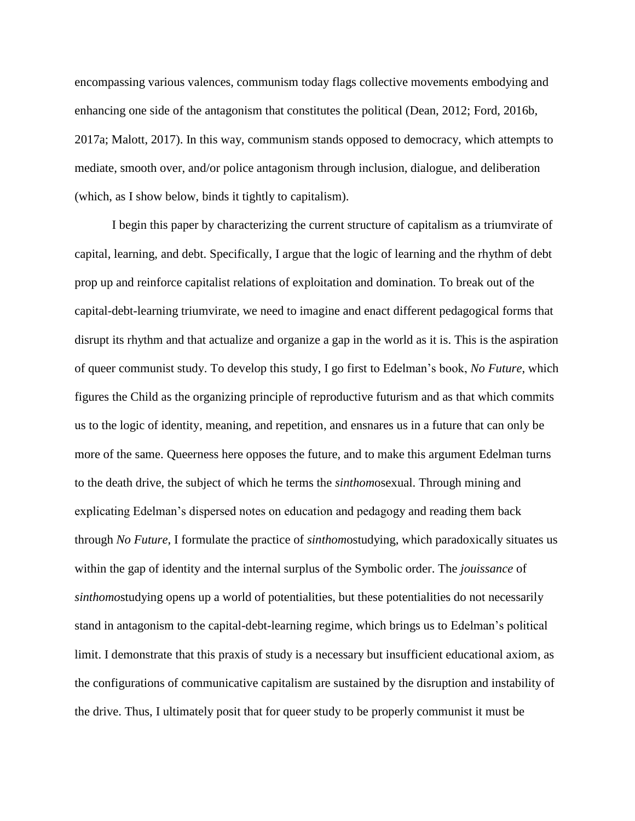encompassing various valences, communism today flags collective movements embodying and enhancing one side of the antagonism that constitutes the political (Dean, 2012; Ford, 2016b, 2017a; Malott, 2017). In this way, communism stands opposed to democracy, which attempts to mediate, smooth over, and/or police antagonism through inclusion, dialogue, and deliberation (which, as I show below, binds it tightly to capitalism).

I begin this paper by characterizing the current structure of capitalism as a triumvirate of capital, learning, and debt. Specifically, I argue that the logic of learning and the rhythm of debt prop up and reinforce capitalist relations of exploitation and domination. To break out of the capital-debt-learning triumvirate, we need to imagine and enact different pedagogical forms that disrupt its rhythm and that actualize and organize a gap in the world as it is. This is the aspiration of queer communist study. To develop this study, I go first to Edelman's book, *No Future*, which figures the Child as the organizing principle of reproductive futurism and as that which commits us to the logic of identity, meaning, and repetition, and ensnares us in a future that can only be more of the same. Queerness here opposes the future, and to make this argument Edelman turns to the death drive, the subject of which he terms the *sinthom*osexual. Through mining and explicating Edelman's dispersed notes on education and pedagogy and reading them back through *No Future*, I formulate the practice of *sinthom*ostudying, which paradoxically situates us within the gap of identity and the internal surplus of the Symbolic order. The *jouissance* of *sinthomo*studying opens up a world of potentialities, but these potentialities do not necessarily stand in antagonism to the capital-debt-learning regime, which brings us to Edelman's political limit. I demonstrate that this praxis of study is a necessary but insufficient educational axiom, as the configurations of communicative capitalism are sustained by the disruption and instability of the drive. Thus, I ultimately posit that for queer study to be properly communist it must be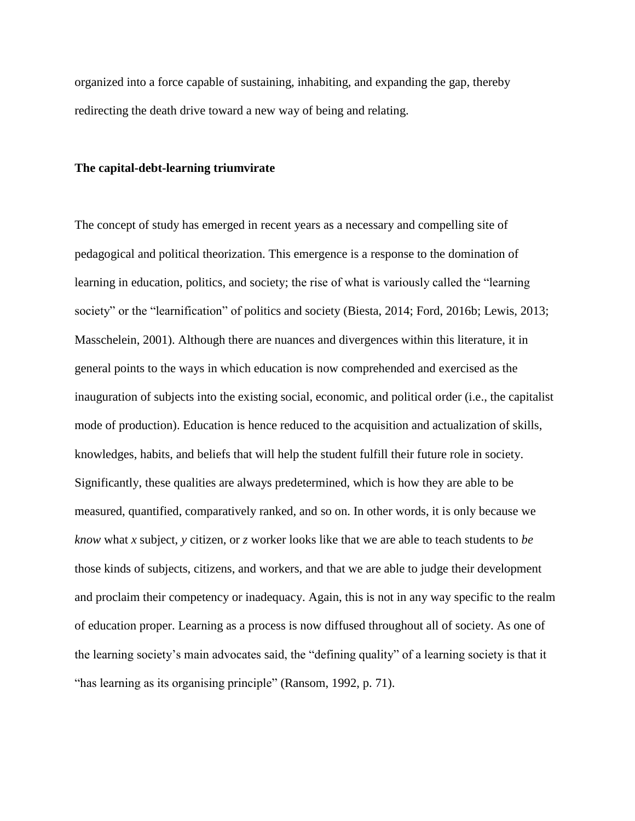organized into a force capable of sustaining, inhabiting, and expanding the gap, thereby redirecting the death drive toward a new way of being and relating.

#### **The capital-debt-learning triumvirate**

The concept of study has emerged in recent years as a necessary and compelling site of pedagogical and political theorization. This emergence is a response to the domination of learning in education, politics, and society; the rise of what is variously called the "learning society" or the "learnification" of politics and society (Biesta, 2014; Ford, 2016b; Lewis, 2013; Masschelein, 2001). Although there are nuances and divergences within this literature, it in general points to the ways in which education is now comprehended and exercised as the inauguration of subjects into the existing social, economic, and political order (i.e., the capitalist mode of production). Education is hence reduced to the acquisition and actualization of skills, knowledges, habits, and beliefs that will help the student fulfill their future role in society. Significantly, these qualities are always predetermined, which is how they are able to be measured, quantified, comparatively ranked, and so on. In other words, it is only because we *know* what *x* subject, *y* citizen, or *z* worker looks like that we are able to teach students to *be* those kinds of subjects, citizens, and workers, and that we are able to judge their development and proclaim their competency or inadequacy. Again, this is not in any way specific to the realm of education proper. Learning as a process is now diffused throughout all of society. As one of the learning society's main advocates said, the "defining quality" of a learning society is that it "has learning as its organising principle" (Ransom, 1992, p. 71).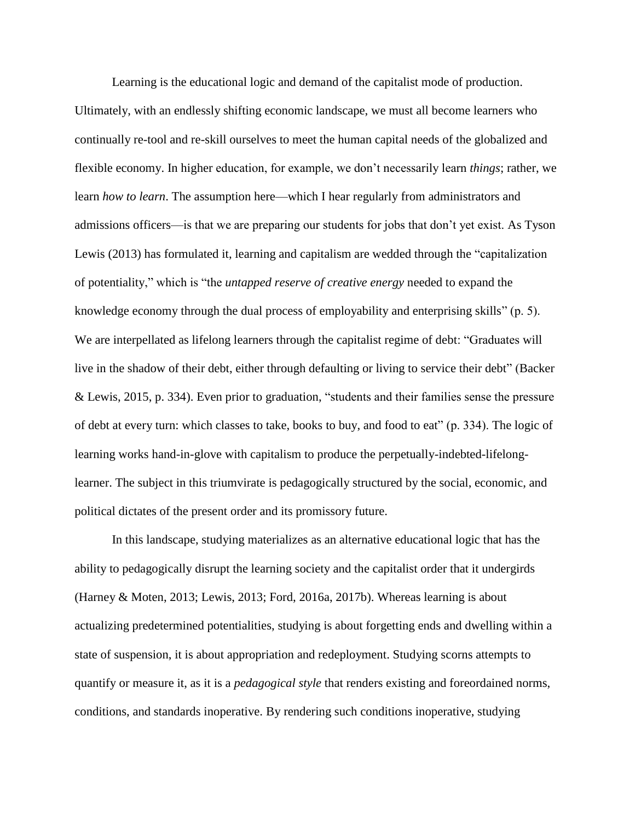Learning is the educational logic and demand of the capitalist mode of production. Ultimately, with an endlessly shifting economic landscape, we must all become learners who continually re-tool and re-skill ourselves to meet the human capital needs of the globalized and flexible economy. In higher education, for example, we don't necessarily learn *things*; rather, we learn *how to learn*. The assumption here—which I hear regularly from administrators and admissions officers—is that we are preparing our students for jobs that don't yet exist. As Tyson Lewis (2013) has formulated it, learning and capitalism are wedded through the "capitalization of potentiality," which is "the *untapped reserve of creative energy* needed to expand the knowledge economy through the dual process of employability and enterprising skills" (p. 5). We are interpellated as lifelong learners through the capitalist regime of debt: "Graduates will live in the shadow of their debt, either through defaulting or living to service their debt" (Backer & Lewis, 2015, p. 334). Even prior to graduation, "students and their families sense the pressure of debt at every turn: which classes to take, books to buy, and food to eat" (p. 334). The logic of learning works hand-in-glove with capitalism to produce the perpetually-indebted-lifelonglearner. The subject in this triumvirate is pedagogically structured by the social, economic, and political dictates of the present order and its promissory future.

In this landscape, studying materializes as an alternative educational logic that has the ability to pedagogically disrupt the learning society and the capitalist order that it undergirds (Harney & Moten, 2013; Lewis, 2013; Ford, 2016a, 2017b). Whereas learning is about actualizing predetermined potentialities, studying is about forgetting ends and dwelling within a state of suspension, it is about appropriation and redeployment. Studying scorns attempts to quantify or measure it, as it is a *pedagogical style* that renders existing and foreordained norms, conditions, and standards inoperative. By rendering such conditions inoperative, studying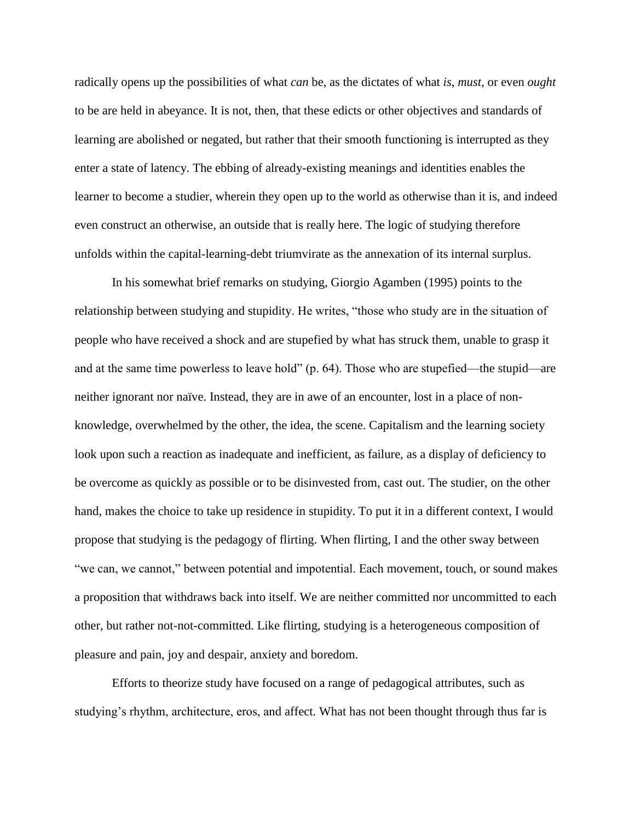radically opens up the possibilities of what *can* be, as the dictates of what *is*, *must*, or even *ought* to be are held in abeyance. It is not, then, that these edicts or other objectives and standards of learning are abolished or negated, but rather that their smooth functioning is interrupted as they enter a state of latency. The ebbing of already-existing meanings and identities enables the learner to become a studier, wherein they open up to the world as otherwise than it is, and indeed even construct an otherwise, an outside that is really here. The logic of studying therefore unfolds within the capital-learning-debt triumvirate as the annexation of its internal surplus.

In his somewhat brief remarks on studying, Giorgio Agamben (1995) points to the relationship between studying and stupidity. He writes, "those who study are in the situation of people who have received a shock and are stupefied by what has struck them, unable to grasp it and at the same time powerless to leave hold" (p. 64). Those who are stupefied—the stupid—are neither ignorant nor naïve. Instead, they are in awe of an encounter, lost in a place of nonknowledge, overwhelmed by the other, the idea, the scene. Capitalism and the learning society look upon such a reaction as inadequate and inefficient, as failure, as a display of deficiency to be overcome as quickly as possible or to be disinvested from, cast out. The studier, on the other hand, makes the choice to take up residence in stupidity. To put it in a different context, I would propose that studying is the pedagogy of flirting. When flirting, I and the other sway between "we can, we cannot," between potential and impotential. Each movement, touch, or sound makes a proposition that withdraws back into itself. We are neither committed nor uncommitted to each other, but rather not-not-committed. Like flirting, studying is a heterogeneous composition of pleasure and pain, joy and despair, anxiety and boredom.

Efforts to theorize study have focused on a range of pedagogical attributes, such as studying's rhythm, architecture, eros, and affect. What has not been thought through thus far is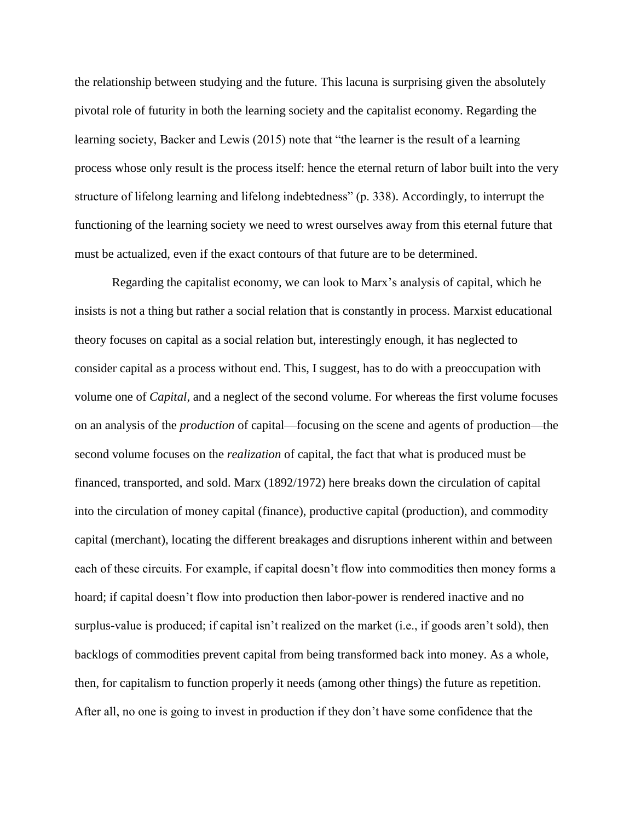the relationship between studying and the future. This lacuna is surprising given the absolutely pivotal role of futurity in both the learning society and the capitalist economy. Regarding the learning society, Backer and Lewis (2015) note that "the learner is the result of a learning process whose only result is the process itself: hence the eternal return of labor built into the very structure of lifelong learning and lifelong indebtedness" (p. 338). Accordingly, to interrupt the functioning of the learning society we need to wrest ourselves away from this eternal future that must be actualized, even if the exact contours of that future are to be determined.

Regarding the capitalist economy, we can look to Marx's analysis of capital, which he insists is not a thing but rather a social relation that is constantly in process. Marxist educational theory focuses on capital as a social relation but, interestingly enough, it has neglected to consider capital as a process without end. This, I suggest, has to do with a preoccupation with volume one of *Capital*, and a neglect of the second volume. For whereas the first volume focuses on an analysis of the *production* of capital—focusing on the scene and agents of production—the second volume focuses on the *realization* of capital, the fact that what is produced must be financed, transported, and sold. Marx (1892/1972) here breaks down the circulation of capital into the circulation of money capital (finance), productive capital (production), and commodity capital (merchant), locating the different breakages and disruptions inherent within and between each of these circuits. For example, if capital doesn't flow into commodities then money forms a hoard; if capital doesn't flow into production then labor-power is rendered inactive and no surplus-value is produced; if capital isn't realized on the market (i.e., if goods aren't sold), then backlogs of commodities prevent capital from being transformed back into money. As a whole, then, for capitalism to function properly it needs (among other things) the future as repetition. After all, no one is going to invest in production if they don't have some confidence that the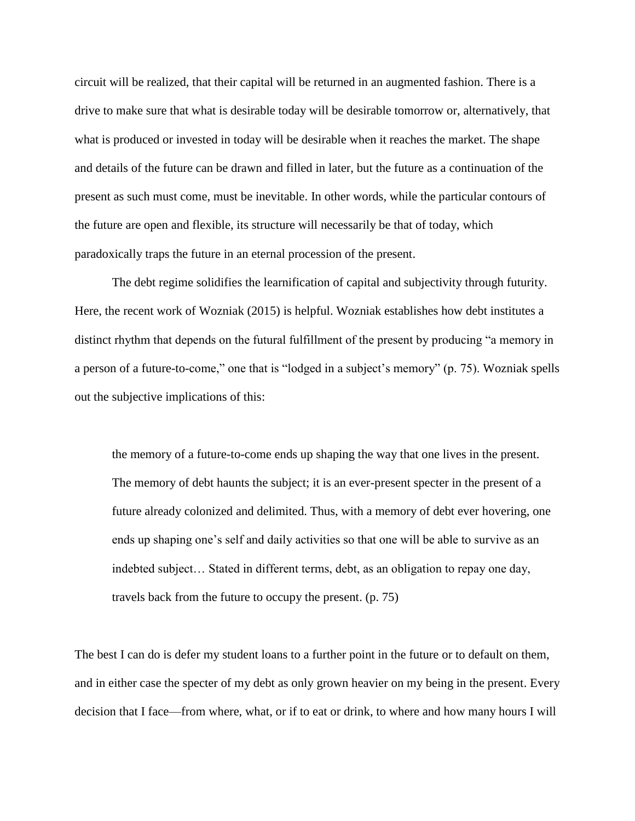circuit will be realized, that their capital will be returned in an augmented fashion. There is a drive to make sure that what is desirable today will be desirable tomorrow or, alternatively, that what is produced or invested in today will be desirable when it reaches the market. The shape and details of the future can be drawn and filled in later, but the future as a continuation of the present as such must come, must be inevitable. In other words, while the particular contours of the future are open and flexible, its structure will necessarily be that of today, which paradoxically traps the future in an eternal procession of the present.

The debt regime solidifies the learnification of capital and subjectivity through futurity. Here, the recent work of Wozniak (2015) is helpful. Wozniak establishes how debt institutes a distinct rhythm that depends on the futural fulfillment of the present by producing "a memory in a person of a future-to-come," one that is "lodged in a subject's memory" (p. 75). Wozniak spells out the subjective implications of this:

the memory of a future-to-come ends up shaping the way that one lives in the present. The memory of debt haunts the subject; it is an ever-present specter in the present of a future already colonized and delimited. Thus, with a memory of debt ever hovering, one ends up shaping one's self and daily activities so that one will be able to survive as an indebted subject… Stated in different terms, debt, as an obligation to repay one day, travels back from the future to occupy the present. (p. 75)

The best I can do is defer my student loans to a further point in the future or to default on them, and in either case the specter of my debt as only grown heavier on my being in the present. Every decision that I face—from where, what, or if to eat or drink, to where and how many hours I will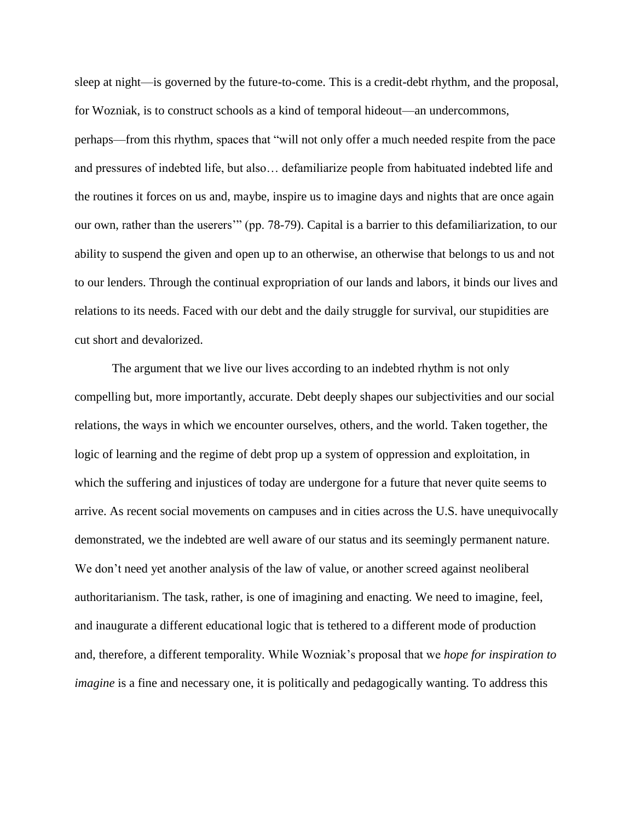sleep at night—is governed by the future-to-come. This is a credit-debt rhythm, and the proposal, for Wozniak, is to construct schools as a kind of temporal hideout—an undercommons, perhaps—from this rhythm, spaces that "will not only offer a much needed respite from the pace and pressures of indebted life, but also… defamiliarize people from habituated indebted life and the routines it forces on us and, maybe, inspire us to imagine days and nights that are once again our own, rather than the userers'" (pp. 78-79). Capital is a barrier to this defamiliarization, to our ability to suspend the given and open up to an otherwise, an otherwise that belongs to us and not to our lenders. Through the continual expropriation of our lands and labors, it binds our lives and relations to its needs. Faced with our debt and the daily struggle for survival, our stupidities are cut short and devalorized.

The argument that we live our lives according to an indebted rhythm is not only compelling but, more importantly, accurate. Debt deeply shapes our subjectivities and our social relations, the ways in which we encounter ourselves, others, and the world. Taken together, the logic of learning and the regime of debt prop up a system of oppression and exploitation, in which the suffering and injustices of today are undergone for a future that never quite seems to arrive. As recent social movements on campuses and in cities across the U.S. have unequivocally demonstrated, we the indebted are well aware of our status and its seemingly permanent nature. We don't need yet another analysis of the law of value, or another screed against neoliberal authoritarianism. The task, rather, is one of imagining and enacting. We need to imagine, feel, and inaugurate a different educational logic that is tethered to a different mode of production and, therefore, a different temporality. While Wozniak's proposal that we *hope for inspiration to imagine* is a fine and necessary one, it is politically and pedagogically wanting. To address this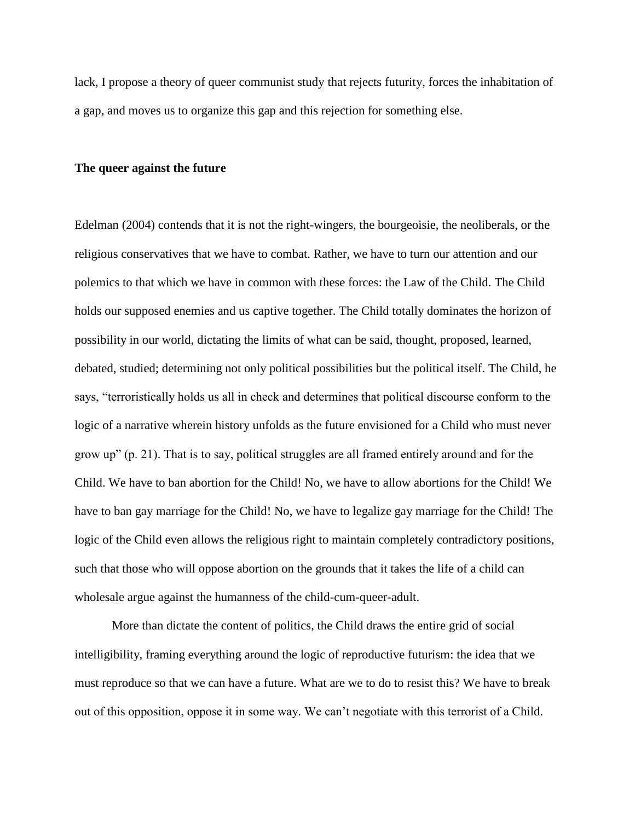lack, I propose a theory of queer communist study that rejects futurity, forces the inhabitation of a gap, and moves us to organize this gap and this rejection for something else.

#### **The queer against the future**

Edelman (2004) contends that it is not the right-wingers, the bourgeoisie, the neoliberals, or the religious conservatives that we have to combat. Rather, we have to turn our attention and our polemics to that which we have in common with these forces: the Law of the Child. The Child holds our supposed enemies and us captive together. The Child totally dominates the horizon of possibility in our world, dictating the limits of what can be said, thought, proposed, learned, debated, studied; determining not only political possibilities but the political itself. The Child, he says, "terroristically holds us all in check and determines that political discourse conform to the logic of a narrative wherein history unfolds as the future envisioned for a Child who must never grow up" (p. 21). That is to say, political struggles are all framed entirely around and for the Child. We have to ban abortion for the Child! No, we have to allow abortions for the Child! We have to ban gay marriage for the Child! No, we have to legalize gay marriage for the Child! The logic of the Child even allows the religious right to maintain completely contradictory positions, such that those who will oppose abortion on the grounds that it takes the life of a child can wholesale argue against the humanness of the child-cum-queer-adult.

More than dictate the content of politics, the Child draws the entire grid of social intelligibility, framing everything around the logic of reproductive futurism: the idea that we must reproduce so that we can have a future. What are we to do to resist this? We have to break out of this opposition, oppose it in some way. We can't negotiate with this terrorist of a Child.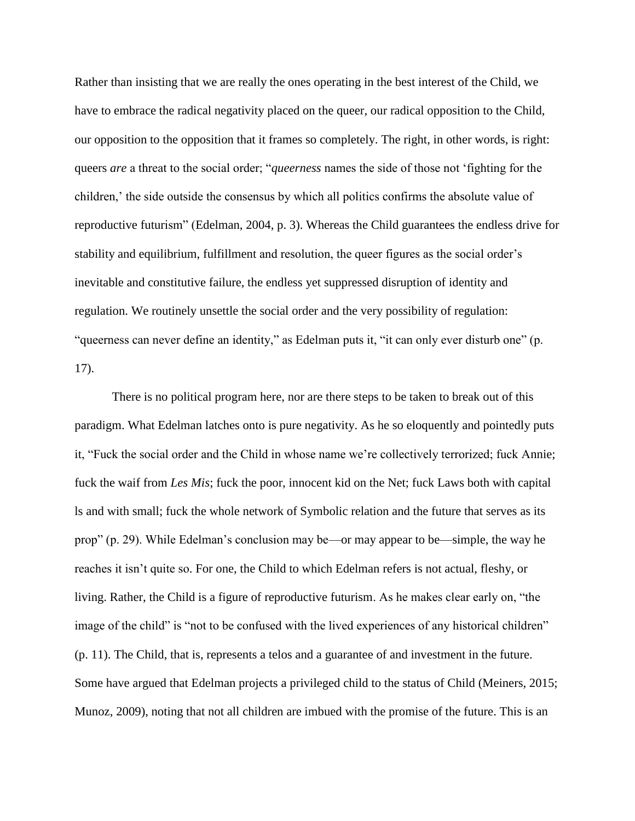Rather than insisting that we are really the ones operating in the best interest of the Child, we have to embrace the radical negativity placed on the queer, our radical opposition to the Child, our opposition to the opposition that it frames so completely. The right, in other words, is right: queers *are* a threat to the social order; "*queerness* names the side of those not 'fighting for the children,' the side outside the consensus by which all politics confirms the absolute value of reproductive futurism" (Edelman, 2004, p. 3). Whereas the Child guarantees the endless drive for stability and equilibrium, fulfillment and resolution, the queer figures as the social order's inevitable and constitutive failure, the endless yet suppressed disruption of identity and regulation. We routinely unsettle the social order and the very possibility of regulation: "queerness can never define an identity," as Edelman puts it, "it can only ever disturb one" (p. 17).

There is no political program here, nor are there steps to be taken to break out of this paradigm. What Edelman latches onto is pure negativity. As he so eloquently and pointedly puts it, "Fuck the social order and the Child in whose name we're collectively terrorized; fuck Annie; fuck the waif from *Les Mis*; fuck the poor, innocent kid on the Net; fuck Laws both with capital ls and with small; fuck the whole network of Symbolic relation and the future that serves as its prop" (p. 29). While Edelman's conclusion may be—or may appear to be—simple, the way he reaches it isn't quite so. For one, the Child to which Edelman refers is not actual, fleshy, or living. Rather, the Child is a figure of reproductive futurism. As he makes clear early on, "the image of the child" is "not to be confused with the lived experiences of any historical children" (p. 11). The Child, that is, represents a telos and a guarantee of and investment in the future. Some have argued that Edelman projects a privileged child to the status of Child (Meiners, 2015; Munoz, 2009), noting that not all children are imbued with the promise of the future. This is an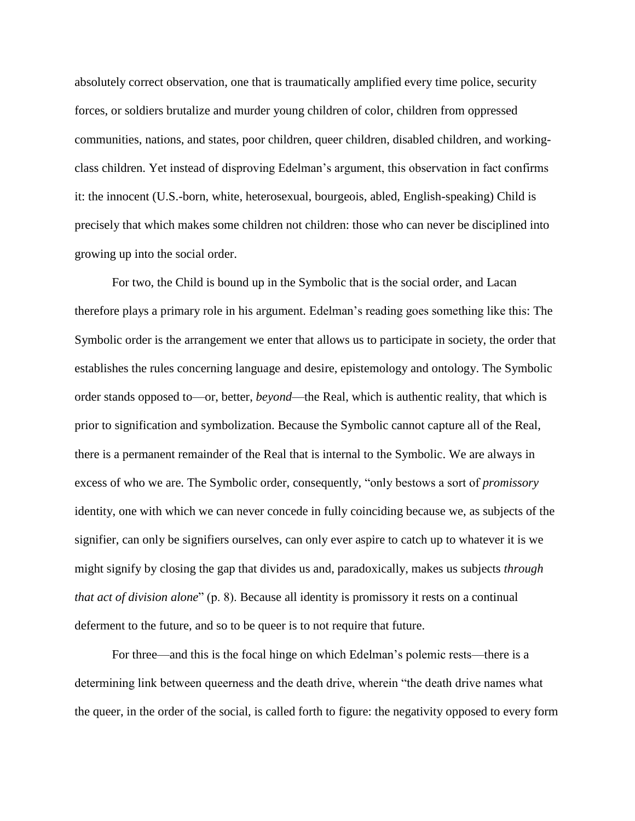absolutely correct observation, one that is traumatically amplified every time police, security forces, or soldiers brutalize and murder young children of color, children from oppressed communities, nations, and states, poor children, queer children, disabled children, and workingclass children. Yet instead of disproving Edelman's argument, this observation in fact confirms it: the innocent (U.S.-born, white, heterosexual, bourgeois, abled, English-speaking) Child is precisely that which makes some children not children: those who can never be disciplined into growing up into the social order.

For two, the Child is bound up in the Symbolic that is the social order, and Lacan therefore plays a primary role in his argument. Edelman's reading goes something like this: The Symbolic order is the arrangement we enter that allows us to participate in society, the order that establishes the rules concerning language and desire, epistemology and ontology. The Symbolic order stands opposed to—or, better, *beyond*—the Real, which is authentic reality, that which is prior to signification and symbolization. Because the Symbolic cannot capture all of the Real, there is a permanent remainder of the Real that is internal to the Symbolic. We are always in excess of who we are. The Symbolic order, consequently, "only bestows a sort of *promissory* identity, one with which we can never concede in fully coinciding because we, as subjects of the signifier, can only be signifiers ourselves, can only ever aspire to catch up to whatever it is we might signify by closing the gap that divides us and, paradoxically, makes us subjects *through that act of division alone*" (p. 8). Because all identity is promissory it rests on a continual deferment to the future, and so to be queer is to not require that future.

For three—and this is the focal hinge on which Edelman's polemic rests—there is a determining link between queerness and the death drive, wherein "the death drive names what the queer, in the order of the social, is called forth to figure: the negativity opposed to every form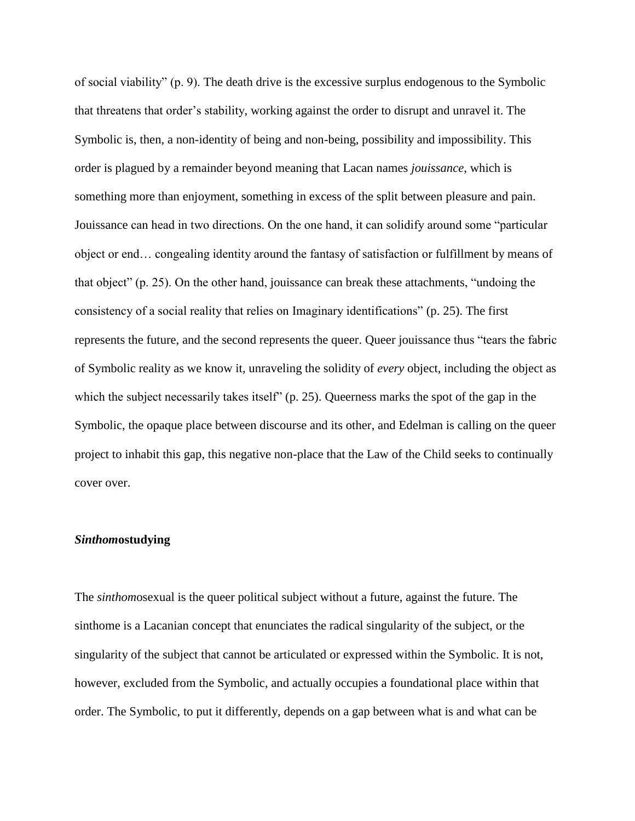of social viability" (p. 9). The death drive is the excessive surplus endogenous to the Symbolic that threatens that order's stability, working against the order to disrupt and unravel it. The Symbolic is, then, a non-identity of being and non-being, possibility and impossibility. This order is plagued by a remainder beyond meaning that Lacan names *jouissance*, which is something more than enjoyment, something in excess of the split between pleasure and pain. Jouissance can head in two directions. On the one hand, it can solidify around some "particular object or end… congealing identity around the fantasy of satisfaction or fulfillment by means of that object" (p. 25). On the other hand, jouissance can break these attachments, "undoing the consistency of a social reality that relies on Imaginary identifications" (p. 25). The first represents the future, and the second represents the queer. Queer jouissance thus "tears the fabric of Symbolic reality as we know it, unraveling the solidity of *every* object, including the object as which the subject necessarily takes itself" (p. 25). Queerness marks the spot of the gap in the Symbolic, the opaque place between discourse and its other, and Edelman is calling on the queer project to inhabit this gap, this negative non-place that the Law of the Child seeks to continually cover over.

#### *Sinthom***ostudying**

The *sinthom*osexual is the queer political subject without a future, against the future. The sinthome is a Lacanian concept that enunciates the radical singularity of the subject, or the singularity of the subject that cannot be articulated or expressed within the Symbolic. It is not, however, excluded from the Symbolic, and actually occupies a foundational place within that order. The Symbolic, to put it differently, depends on a gap between what is and what can be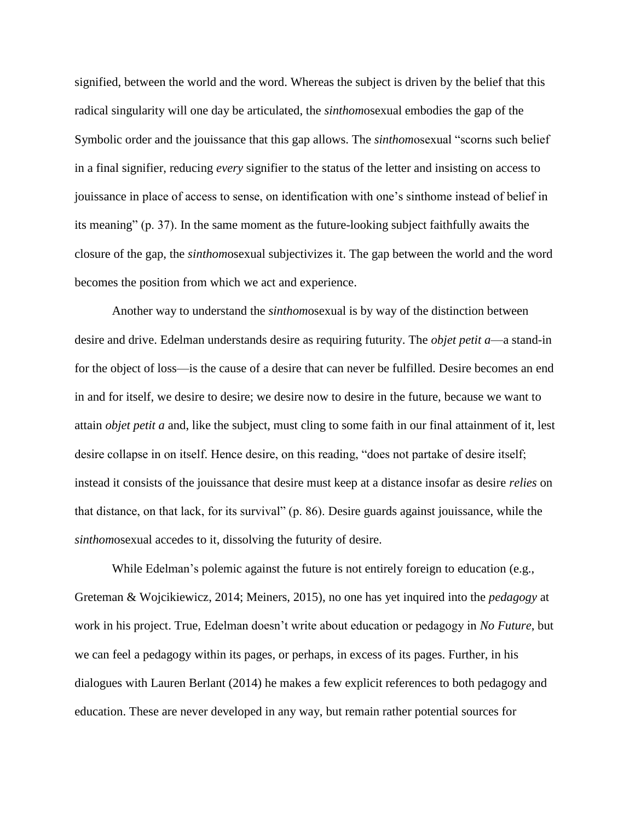signified, between the world and the word. Whereas the subject is driven by the belief that this radical singularity will one day be articulated, the *sinthom*osexual embodies the gap of the Symbolic order and the jouissance that this gap allows. The *sinthom*osexual "scorns such belief in a final signifier, reducing *every* signifier to the status of the letter and insisting on access to jouissance in place of access to sense, on identification with one's sinthome instead of belief in its meaning" (p. 37). In the same moment as the future-looking subject faithfully awaits the closure of the gap, the *sinthom*osexual subjectivizes it. The gap between the world and the word becomes the position from which we act and experience.

Another way to understand the *sinthom*osexual is by way of the distinction between desire and drive. Edelman understands desire as requiring futurity. The *objet petit a*—a stand-in for the object of loss—is the cause of a desire that can never be fulfilled. Desire becomes an end in and for itself, we desire to desire; we desire now to desire in the future, because we want to attain *objet petit a* and, like the subject, must cling to some faith in our final attainment of it, lest desire collapse in on itself. Hence desire, on this reading, "does not partake of desire itself; instead it consists of the jouissance that desire must keep at a distance insofar as desire *relies* on that distance, on that lack, for its survival" (p. 86). Desire guards against jouissance, while the *sinthom*osexual accedes to it, dissolving the futurity of desire.

While Edelman's polemic against the future is not entirely foreign to education (e.g., Greteman & Wojcikiewicz, 2014; Meiners, 2015), no one has yet inquired into the *pedagogy* at work in his project. True, Edelman doesn't write about education or pedagogy in *No Future*, but we can feel a pedagogy within its pages, or perhaps, in excess of its pages. Further, in his dialogues with Lauren Berlant (2014) he makes a few explicit references to both pedagogy and education. These are never developed in any way, but remain rather potential sources for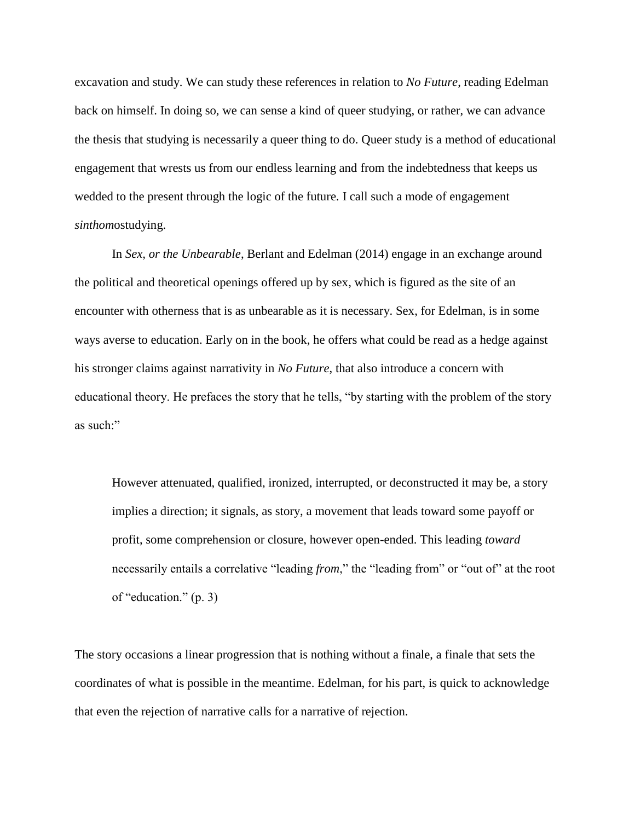excavation and study. We can study these references in relation to *No Future*, reading Edelman back on himself. In doing so, we can sense a kind of queer studying, or rather, we can advance the thesis that studying is necessarily a queer thing to do. Queer study is a method of educational engagement that wrests us from our endless learning and from the indebtedness that keeps us wedded to the present through the logic of the future. I call such a mode of engagement *sinthom*ostudying.

In *Sex, or the Unbearable*, Berlant and Edelman (2014) engage in an exchange around the political and theoretical openings offered up by sex, which is figured as the site of an encounter with otherness that is as unbearable as it is necessary. Sex, for Edelman, is in some ways averse to education. Early on in the book, he offers what could be read as a hedge against his stronger claims against narrativity in *No Future*, that also introduce a concern with educational theory. He prefaces the story that he tells, "by starting with the problem of the story as such:"

However attenuated, qualified, ironized, interrupted, or deconstructed it may be, a story implies a direction; it signals, as story, a movement that leads toward some payoff or profit, some comprehension or closure, however open-ended. This leading *toward* necessarily entails a correlative "leading *from*," the "leading from" or "out of" at the root of "education." (p. 3)

The story occasions a linear progression that is nothing without a finale, a finale that sets the coordinates of what is possible in the meantime. Edelman, for his part, is quick to acknowledge that even the rejection of narrative calls for a narrative of rejection.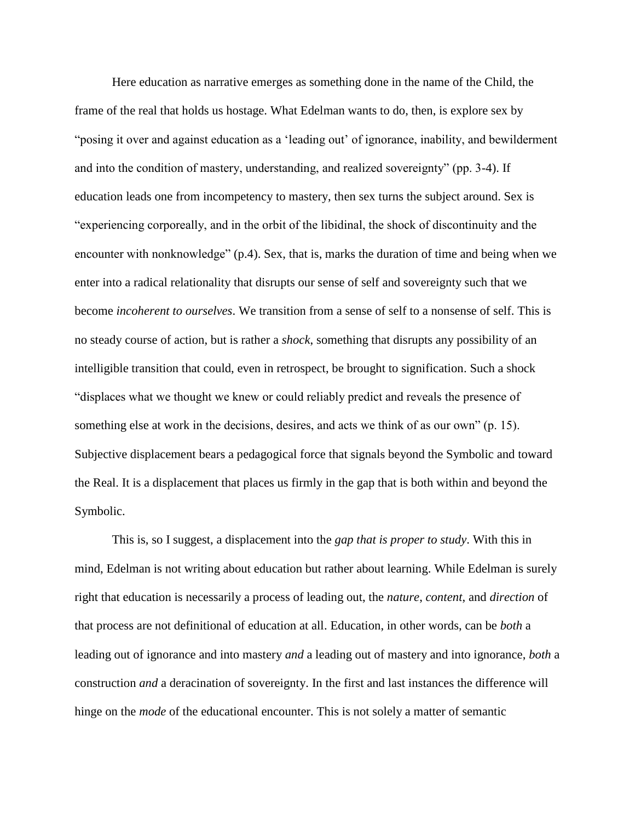Here education as narrative emerges as something done in the name of the Child, the frame of the real that holds us hostage. What Edelman wants to do, then, is explore sex by "posing it over and against education as a 'leading out' of ignorance, inability, and bewilderment and into the condition of mastery, understanding, and realized sovereignty" (pp. 3-4). If education leads one from incompetency to mastery, then sex turns the subject around. Sex is "experiencing corporeally, and in the orbit of the libidinal, the shock of discontinuity and the encounter with nonknowledge" (p.4). Sex, that is, marks the duration of time and being when we enter into a radical relationality that disrupts our sense of self and sovereignty such that we become *incoherent to ourselves*. We transition from a sense of self to a nonsense of self. This is no steady course of action, but is rather a *shock*, something that disrupts any possibility of an intelligible transition that could, even in retrospect, be brought to signification. Such a shock "displaces what we thought we knew or could reliably predict and reveals the presence of something else at work in the decisions, desires, and acts we think of as our own" (p. 15). Subjective displacement bears a pedagogical force that signals beyond the Symbolic and toward the Real. It is a displacement that places us firmly in the gap that is both within and beyond the Symbolic.

This is, so I suggest, a displacement into the *gap that is proper to study*. With this in mind, Edelman is not writing about education but rather about learning. While Edelman is surely right that education is necessarily a process of leading out, the *nature*, *content*, and *direction* of that process are not definitional of education at all. Education, in other words, can be *both* a leading out of ignorance and into mastery *and* a leading out of mastery and into ignorance, *both* a construction *and* a deracination of sovereignty. In the first and last instances the difference will hinge on the *mode* of the educational encounter. This is not solely a matter of semantic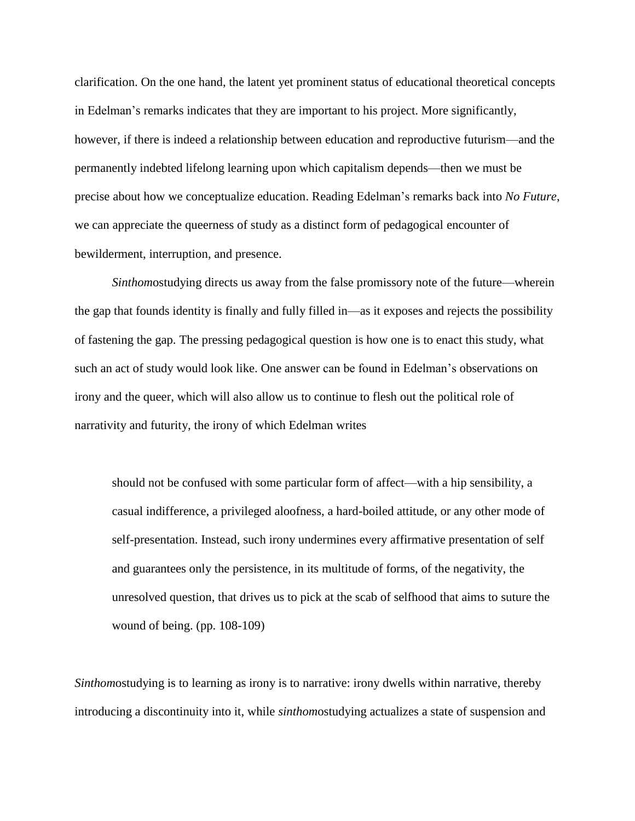clarification. On the one hand, the latent yet prominent status of educational theoretical concepts in Edelman's remarks indicates that they are important to his project. More significantly, however, if there is indeed a relationship between education and reproductive futurism—and the permanently indebted lifelong learning upon which capitalism depends—then we must be precise about how we conceptualize education. Reading Edelman's remarks back into *No Future*, we can appreciate the queerness of study as a distinct form of pedagogical encounter of bewilderment, interruption, and presence.

*Sinthom*ostudying directs us away from the false promissory note of the future—wherein the gap that founds identity is finally and fully filled in—as it exposes and rejects the possibility of fastening the gap. The pressing pedagogical question is how one is to enact this study, what such an act of study would look like. One answer can be found in Edelman's observations on irony and the queer, which will also allow us to continue to flesh out the political role of narrativity and futurity, the irony of which Edelman writes

should not be confused with some particular form of affect—with a hip sensibility, a casual indifference, a privileged aloofness, a hard-boiled attitude, or any other mode of self-presentation. Instead, such irony undermines every affirmative presentation of self and guarantees only the persistence, in its multitude of forms, of the negativity, the unresolved question, that drives us to pick at the scab of selfhood that aims to suture the wound of being. (pp. 108-109)

*Sinthom*ostudying is to learning as irony is to narrative: irony dwells within narrative, thereby introducing a discontinuity into it, while *sinthom*ostudying actualizes a state of suspension and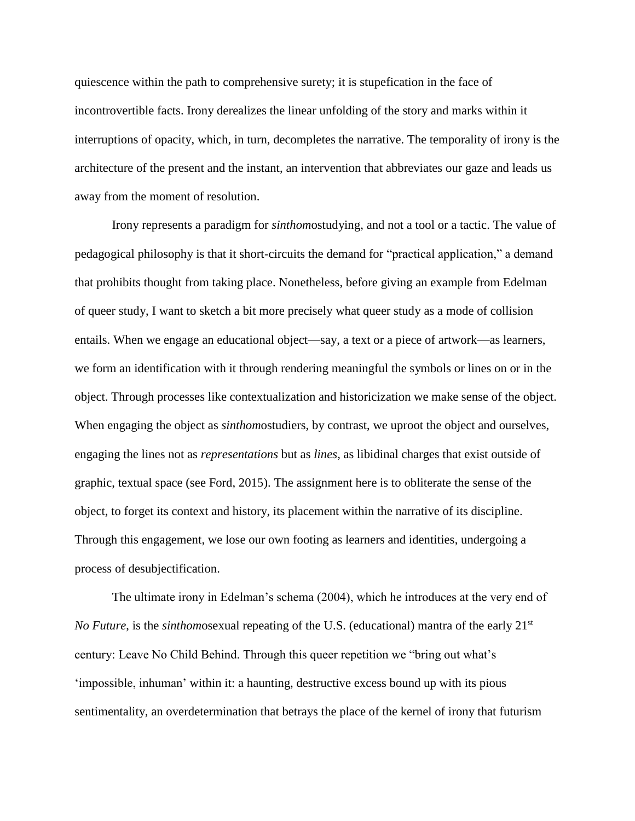quiescence within the path to comprehensive surety; it is stupefication in the face of incontrovertible facts. Irony derealizes the linear unfolding of the story and marks within it interruptions of opacity, which, in turn, decompletes the narrative. The temporality of irony is the architecture of the present and the instant, an intervention that abbreviates our gaze and leads us away from the moment of resolution.

Irony represents a paradigm for *sinthom*ostudying, and not a tool or a tactic. The value of pedagogical philosophy is that it short-circuits the demand for "practical application," a demand that prohibits thought from taking place. Nonetheless, before giving an example from Edelman of queer study, I want to sketch a bit more precisely what queer study as a mode of collision entails. When we engage an educational object—say, a text or a piece of artwork—as learners, we form an identification with it through rendering meaningful the symbols or lines on or in the object. Through processes like contextualization and historicization we make sense of the object. When engaging the object as *sinthom*ostudiers, by contrast, we uproot the object and ourselves, engaging the lines not as *representations* but as *lines*, as libidinal charges that exist outside of graphic, textual space (see Ford, 2015). The assignment here is to obliterate the sense of the object, to forget its context and history, its placement within the narrative of its discipline. Through this engagement, we lose our own footing as learners and identities, undergoing a process of desubjectification.

The ultimate irony in Edelman's schema (2004), which he introduces at the very end of *No Future*, is the *sinthomosexual repeating of the U.S.* (educational) mantra of the early 21<sup>st</sup> century: Leave No Child Behind. Through this queer repetition we "bring out what's 'impossible, inhuman' within it: a haunting, destructive excess bound up with its pious sentimentality, an overdetermination that betrays the place of the kernel of irony that futurism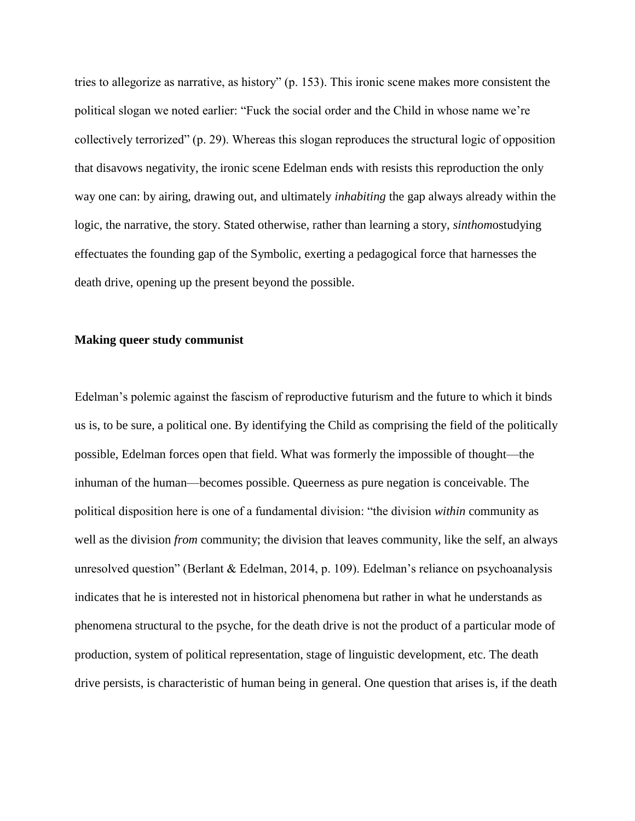tries to allegorize as narrative, as history" (p. 153). This ironic scene makes more consistent the political slogan we noted earlier: "Fuck the social order and the Child in whose name we're collectively terrorized" (p. 29). Whereas this slogan reproduces the structural logic of opposition that disavows negativity, the ironic scene Edelman ends with resists this reproduction the only way one can: by airing, drawing out, and ultimately *inhabiting* the gap always already within the logic, the narrative, the story. Stated otherwise, rather than learning a story, *sinthom*ostudying effectuates the founding gap of the Symbolic, exerting a pedagogical force that harnesses the death drive, opening up the present beyond the possible.

#### **Making queer study communist**

Edelman's polemic against the fascism of reproductive futurism and the future to which it binds us is, to be sure, a political one. By identifying the Child as comprising the field of the politically possible, Edelman forces open that field. What was formerly the impossible of thought—the inhuman of the human—becomes possible. Queerness as pure negation is conceivable. The political disposition here is one of a fundamental division: "the division *within* community as well as the division *from* community; the division that leaves community, like the self, an always unresolved question" (Berlant & Edelman, 2014, p. 109). Edelman's reliance on psychoanalysis indicates that he is interested not in historical phenomena but rather in what he understands as phenomena structural to the psyche, for the death drive is not the product of a particular mode of production, system of political representation, stage of linguistic development, etc. The death drive persists, is characteristic of human being in general. One question that arises is, if the death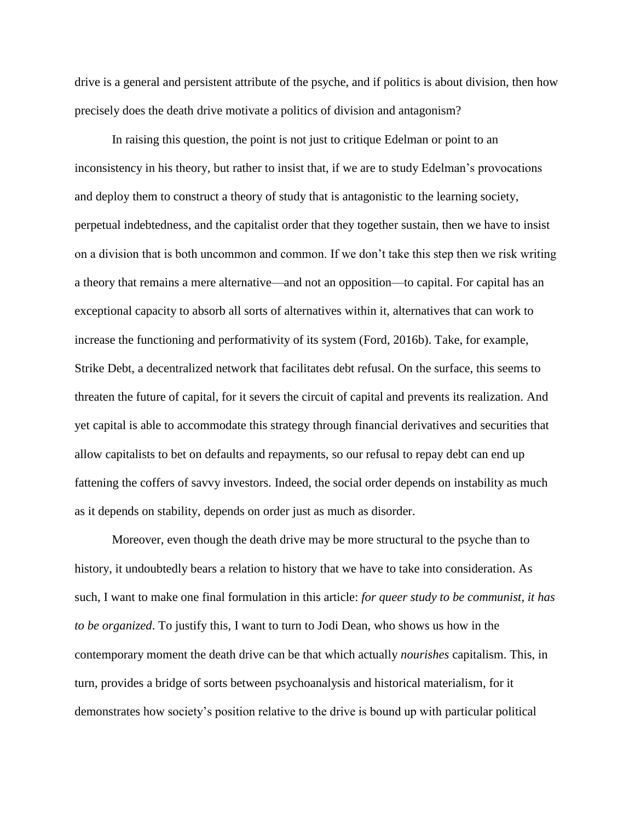drive is a general and persistent attribute of the psyche, and if politics is about division, then how precisely does the death drive motivate a politics of division and antagonism?

In raising this question, the point is not just to critique Edelman or point to an inconsistency in his theory, but rather to insist that, if we are to study Edelman's provocations and deploy them to construct a theory of study that is antagonistic to the learning society, perpetual indebtedness, and the capitalist order that they together sustain, then we have to insist on a division that is both uncommon and common. If we don't take this step then we risk writing a theory that remains a mere alternative—and not an opposition—to capital. For capital has an exceptional capacity to absorb all sorts of alternatives within it, alternatives that can work to increase the functioning and performativity of its system (Ford, 2016b). Take, for example, Strike Debt, a decentralized network that facilitates debt refusal. On the surface, this seems to threaten the future of capital, for it severs the circuit of capital and prevents its realization. And yet capital is able to accommodate this strategy through financial derivatives and securities that allow capitalists to bet on defaults and repayments, so our refusal to repay debt can end up fattening the coffers of savvy investors. Indeed, the social order depends on instability as much as it depends on stability, depends on order just as much as disorder.

Moreover, even though the death drive may be more structural to the psyche than to history, it undoubtedly bears a relation to history that we have to take into consideration. As such, I want to make one final formulation in this article: *for queer study to be communist, it has to be organized*. To justify this, I want to turn to Jodi Dean, who shows us how in the contemporary moment the death drive can be that which actually *nourishes* capitalism. This, in turn, provides a bridge of sorts between psychoanalysis and historical materialism, for it demonstrates how society's position relative to the drive is bound up with particular political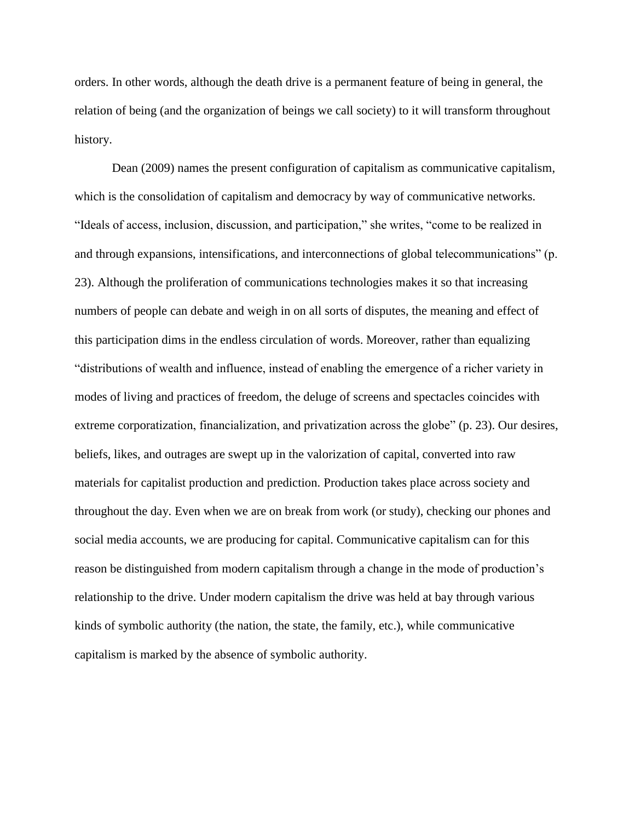orders. In other words, although the death drive is a permanent feature of being in general, the relation of being (and the organization of beings we call society) to it will transform throughout history.

Dean (2009) names the present configuration of capitalism as communicative capitalism, which is the consolidation of capitalism and democracy by way of communicative networks. "Ideals of access, inclusion, discussion, and participation," she writes, "come to be realized in and through expansions, intensifications, and interconnections of global telecommunications" (p. 23). Although the proliferation of communications technologies makes it so that increasing numbers of people can debate and weigh in on all sorts of disputes, the meaning and effect of this participation dims in the endless circulation of words. Moreover, rather than equalizing "distributions of wealth and influence, instead of enabling the emergence of a richer variety in modes of living and practices of freedom, the deluge of screens and spectacles coincides with extreme corporatization, financialization, and privatization across the globe" (p. 23). Our desires, beliefs, likes, and outrages are swept up in the valorization of capital, converted into raw materials for capitalist production and prediction. Production takes place across society and throughout the day. Even when we are on break from work (or study), checking our phones and social media accounts, we are producing for capital. Communicative capitalism can for this reason be distinguished from modern capitalism through a change in the mode of production's relationship to the drive. Under modern capitalism the drive was held at bay through various kinds of symbolic authority (the nation, the state, the family, etc.), while communicative capitalism is marked by the absence of symbolic authority.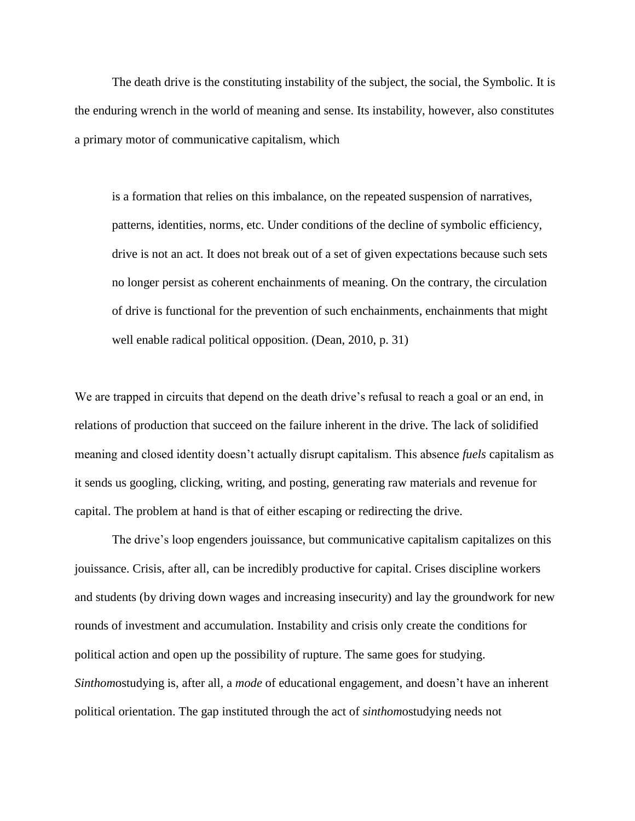The death drive is the constituting instability of the subject, the social, the Symbolic. It is the enduring wrench in the world of meaning and sense. Its instability, however, also constitutes a primary motor of communicative capitalism, which

is a formation that relies on this imbalance, on the repeated suspension of narratives, patterns, identities, norms, etc. Under conditions of the decline of symbolic efficiency, drive is not an act. It does not break out of a set of given expectations because such sets no longer persist as coherent enchainments of meaning. On the contrary, the circulation of drive is functional for the prevention of such enchainments, enchainments that might well enable radical political opposition. (Dean, 2010, p. 31)

We are trapped in circuits that depend on the death drive's refusal to reach a goal or an end, in relations of production that succeed on the failure inherent in the drive. The lack of solidified meaning and closed identity doesn't actually disrupt capitalism. This absence *fuels* capitalism as it sends us googling, clicking, writing, and posting, generating raw materials and revenue for capital. The problem at hand is that of either escaping or redirecting the drive.

The drive's loop engenders jouissance, but communicative capitalism capitalizes on this jouissance. Crisis, after all, can be incredibly productive for capital. Crises discipline workers and students (by driving down wages and increasing insecurity) and lay the groundwork for new rounds of investment and accumulation. Instability and crisis only create the conditions for political action and open up the possibility of rupture. The same goes for studying. *Sinthom*ostudying is, after all, a *mode* of educational engagement, and doesn't have an inherent political orientation. The gap instituted through the act of *sinthom*ostudying needs not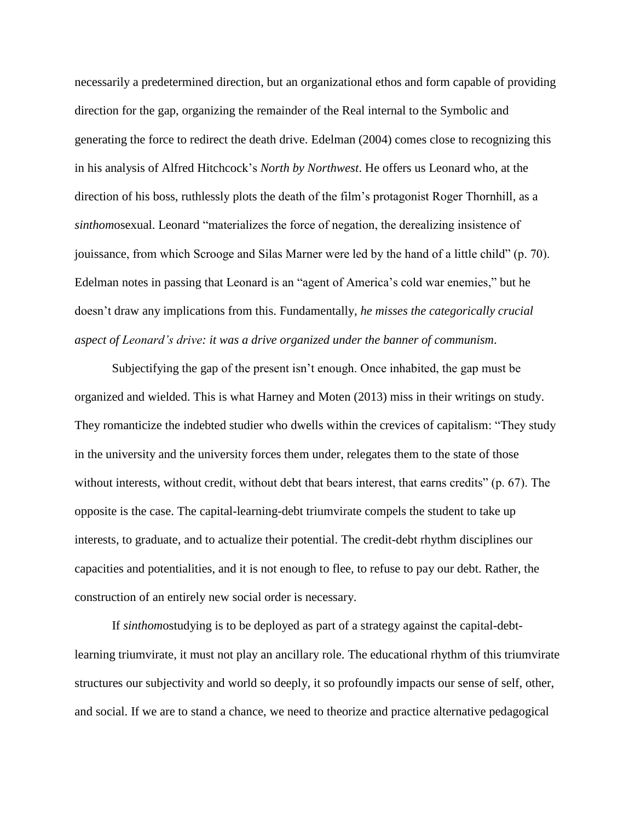necessarily a predetermined direction, but an organizational ethos and form capable of providing direction for the gap, organizing the remainder of the Real internal to the Symbolic and generating the force to redirect the death drive. Edelman (2004) comes close to recognizing this in his analysis of Alfred Hitchcock's *North by Northwest*. He offers us Leonard who, at the direction of his boss, ruthlessly plots the death of the film's protagonist Roger Thornhill, as a *sinthom*osexual. Leonard "materializes the force of negation, the derealizing insistence of jouissance, from which Scrooge and Silas Marner were led by the hand of a little child" (p. 70). Edelman notes in passing that Leonard is an "agent of America's cold war enemies," but he doesn't draw any implications from this. Fundamentally, *he misses the categorically crucial aspect of Leonard's drive: it was a drive organized under the banner of communism*.

Subjectifying the gap of the present isn't enough. Once inhabited, the gap must be organized and wielded. This is what Harney and Moten (2013) miss in their writings on study. They romanticize the indebted studier who dwells within the crevices of capitalism: "They study in the university and the university forces them under, relegates them to the state of those without interests, without credit, without debt that bears interest, that earns credits" (p. 67). The opposite is the case. The capital-learning-debt triumvirate compels the student to take up interests, to graduate, and to actualize their potential. The credit-debt rhythm disciplines our capacities and potentialities, and it is not enough to flee, to refuse to pay our debt. Rather, the construction of an entirely new social order is necessary.

If *sinthom*ostudying is to be deployed as part of a strategy against the capital-debtlearning triumvirate, it must not play an ancillary role. The educational rhythm of this triumvirate structures our subjectivity and world so deeply, it so profoundly impacts our sense of self, other, and social. If we are to stand a chance, we need to theorize and practice alternative pedagogical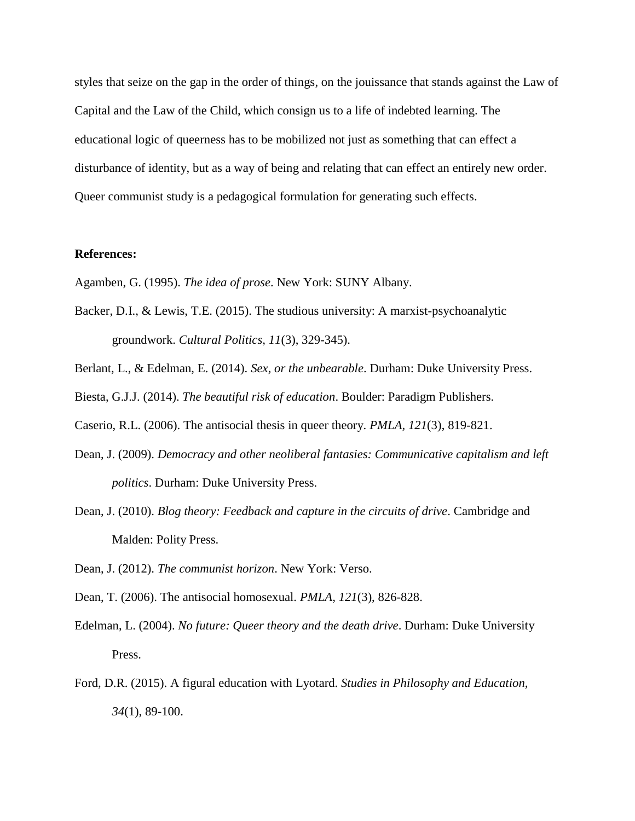styles that seize on the gap in the order of things, on the jouissance that stands against the Law of Capital and the Law of the Child, which consign us to a life of indebted learning. The educational logic of queerness has to be mobilized not just as something that can effect a disturbance of identity, but as a way of being and relating that can effect an entirely new order. Queer communist study is a pedagogical formulation for generating such effects.

#### **References:**

Agamben, G. (1995). *The idea of prose*. New York: SUNY Albany.

- Backer, D.I., & Lewis, T.E. (2015). The studious university: A marxist-psychoanalytic groundwork. *Cultural Politics, 11*(3), 329-345).
- Berlant, L., & Edelman, E. (2014). *Sex, or the unbearable*. Durham: Duke University Press.

Biesta, G.J.J. (2014). *The beautiful risk of education*. Boulder: Paradigm Publishers.

Caserio, R.L. (2006). The antisocial thesis in queer theory. *PMLA, 121*(3), 819-821.

- Dean, J. (2009). *Democracy and other neoliberal fantasies: Communicative capitalism and left politics*. Durham: Duke University Press.
- Dean, J. (2010). *Blog theory: Feedback and capture in the circuits of drive*. Cambridge and Malden: Polity Press.
- Dean, J. (2012). *The communist horizon*. New York: Verso.
- Dean, T. (2006). The antisocial homosexual. *PMLA, 121*(3), 826-828.
- Edelman, L. (2004). *No future: Queer theory and the death drive*. Durham: Duke University Press.
- Ford, D.R. (2015). A figural education with Lyotard. *Studies in Philosophy and Education, 34*(1), 89-100.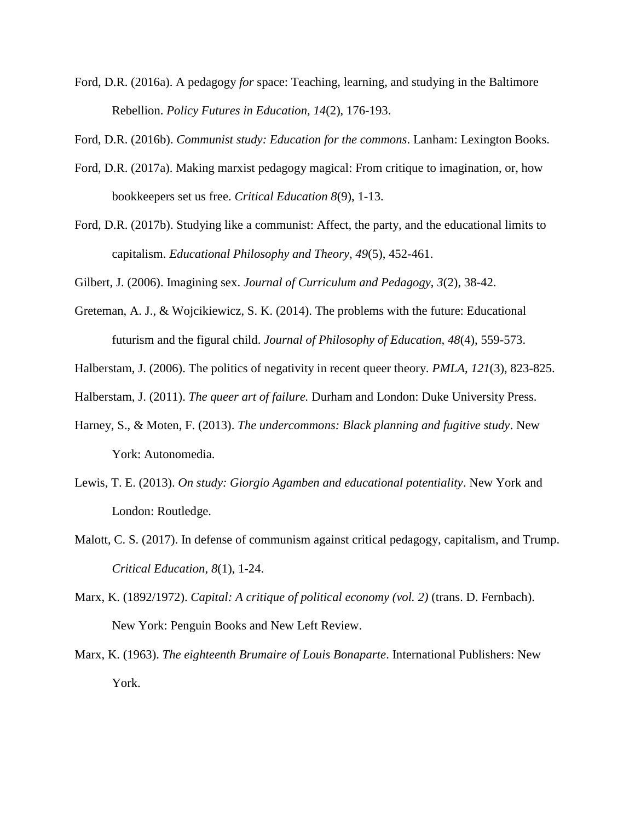Ford, D.R. (2016a). A pedagogy *for* space: Teaching, learning, and studying in the Baltimore Rebellion. *Policy Futures in Education, 14*(2), 176-193.

Ford, D.R. (2016b). *Communist study: Education for the commons*. Lanham: Lexington Books.

- Ford, D.R. (2017a). Making marxist pedagogy magical: From critique to imagination, or, how bookkeepers set us free. *Critical Education 8*(9), 1-13.
- Ford, D.R. (2017b). Studying like a communist: Affect, the party, and the educational limits to capitalism. *Educational Philosophy and Theory, 49*(5), 452-461.

Gilbert, J. (2006). Imagining sex. *Journal of Curriculum and Pedagogy*, *3*(2), 38-42.

- Greteman, A. J., & Wojcikiewicz, S. K. (2014). The problems with the future: Educational futurism and the figural child. *Journal of Philosophy of Education*, *48*(4), 559-573.
- Halberstam, J. (2006). The politics of negativity in recent queer theory. *PMLA, 121*(3), 823-825.

Halberstam, J. (2011). *The queer art of failure.* Durham and London: Duke University Press.

- Harney, S., & Moten, F. (2013). *The undercommons: Black planning and fugitive study*. New York: Autonomedia.
- Lewis, T. E. (2013). *On study: Giorgio Agamben and educational potentiality*. New York and London: Routledge.
- Malott, C. S. (2017). In defense of communism against critical pedagogy, capitalism, and Trump. *Critical Education*, *8*(1), 1-24.
- Marx, K. (1892/1972). *Capital: A critique of political economy (vol. 2)* (trans. D. Fernbach). New York: Penguin Books and New Left Review.
- Marx, K. (1963). *The eighteenth Brumaire of Louis Bonaparte*. International Publishers: New York.